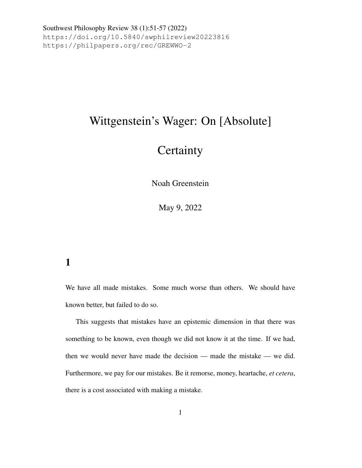## Wittgenstein's Wager: On [Absolute]

# **Certainty**

Noah Greenstein

May 9, 2022

#### <span id="page-0-0"></span>1

We have all made mistakes. Some much worse than others. We should have known better, but failed to do so.

This suggests that mistakes have an epistemic dimension in that there was something to be known, even though we did not know it at the time. If we had, then we would never have made the decision — made the mistake — we did. Furthermore, we pay for our mistakes. Be it remorse, money, heartache, *et cetera*, there is a cost associated with making a mistake.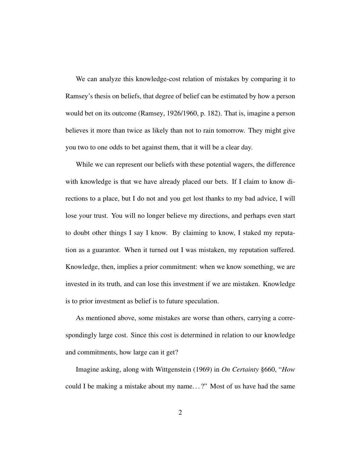We can analyze this knowledge-cost relation of mistakes by comparing it to Ramsey's thesis on beliefs, that degree of belief can be estimated by how a person would bet on its outcome [\(Ramsey,](#page-12-0) [1926/1960,](#page-12-0) p. 182). That is, imagine a person believes it more than twice as likely than not to rain tomorrow. They might give you two to one odds to bet against them, that it will be a clear day.

While we can represent our beliefs with these potential wagers, the difference with knowledge is that we have already placed our bets. If I claim to know directions to a place, but I do not and you get lost thanks to my bad advice, I will lose your trust. You will no longer believe my directions, and perhaps even start to doubt other things I say I know. By claiming to know, I staked my reputation as a guarantor. When it turned out I was mistaken, my reputation suffered. Knowledge, then, implies a prior commitment: when we know something, we are invested in its truth, and can lose this investment if we are mistaken. Knowledge is to prior investment as belief is to future speculation.

As mentioned above, some mistakes are worse than others, carrying a correspondingly large cost. Since this cost is determined in relation to our knowledge and commitments, how large can it get?

Imagine asking, along with [Wittgenstein](#page-12-1) [\(1969\)](#page-12-1) in *On Certainty* §660, "*How* could I be making a mistake about my name. . . ?" Most of us have had the same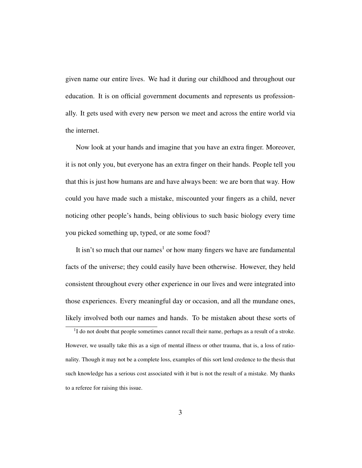given name our entire lives. We had it during our childhood and throughout our education. It is on official government documents and represents us professionally. It gets used with every new person we meet and across the entire world via the internet.

Now look at your hands and imagine that you have an extra finger. Moreover, it is not only you, but everyone has an extra finger on their hands. People tell you that this is just how humans are and have always been: we are born that way. How could you have made such a mistake, miscounted your fingers as a child, never noticing other people's hands, being oblivious to such basic biology every time you picked something up, typed, or ate some food?

It isn't so much that our names<sup>[1](#page-2-0)</sup> or how many fingers we have are fundamental facts of the universe; they could easily have been otherwise. However, they held consistent throughout every other experience in our lives and were integrated into those experiences. Every meaningful day or occasion, and all the mundane ones, likely involved both our names and hands. To be mistaken about these sorts of

<span id="page-2-0"></span><sup>&</sup>lt;sup>1</sup>I do not doubt that people sometimes cannot recall their name, perhaps as a result of a stroke. However, we usually take this as a sign of mental illness or other trauma, that is, a loss of rationality. Though it may not be a complete loss, examples of this sort lend credence to the thesis that such knowledge has a serious cost associated with it but is not the result of a mistake. My thanks to a referee for raising this issue.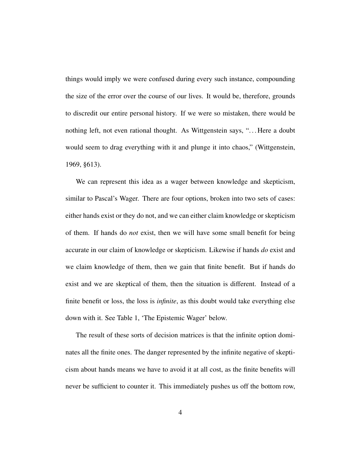things would imply we were confused during every such instance, compounding the size of the error over the course of our lives. It would be, therefore, grounds to discredit our entire personal history. If we were so mistaken, there would be nothing left, not even rational thought. As Wittgenstein says, ". . . Here a doubt would seem to drag everything with it and plunge it into chaos," [\(Wittgenstein,](#page-12-1) [1969,](#page-12-1) §613).

We can represent this idea as a wager between knowledge and skepticism, similar to Pascal's Wager. There are four options, broken into two sets of cases: either hands exist or they do not, and we can either claim knowledge or skepticism of them. If hands do *not* exist, then we will have some small benefit for being accurate in our claim of knowledge or skepticism. Likewise if hands *do* exist and we claim knowledge of them, then we gain that finite benefit. But if hands do exist and we are skeptical of them, then the situation is different. Instead of a finite benefit or loss, the loss is *infinite*, as this doubt would take everything else down with it. See Table [1,](#page-0-0) 'The Epistemic Wager' below.

The result of these sorts of decision matrices is that the infinite option dominates all the finite ones. The danger represented by the infinite negative of skepticism about hands means we have to avoid it at all cost, as the finite benefits will never be sufficient to counter it. This immediately pushes us off the bottom row,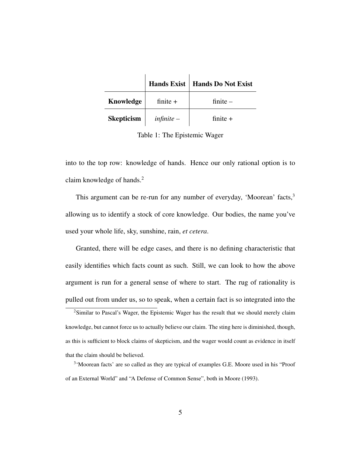|                   |              | Hands Exist   Hands Do Not Exist |
|-------------------|--------------|----------------------------------|
| Knowledge         | finite $+$   | finite $-$                       |
| <b>Skepticism</b> | $infinite -$ | finite $+$                       |

Table 1: The Epistemic Wager

into to the top row: knowledge of hands. Hence our only rational option is to claim knowledge of hands.[2](#page-4-0)

This argument can be re-run for any number of everyday, 'Moorean' facts, $3$ allowing us to identify a stock of core knowledge. Our bodies, the name you've used your whole life, sky, sunshine, rain, *et cetera*.

Granted, there will be edge cases, and there is no defining characteristic that easily identifies which facts count as such. Still, we can look to how the above argument is run for a general sense of where to start. The rug of rationality is pulled out from under us, so to speak, when a certain fact is so integrated into the

<span id="page-4-0"></span><sup>2</sup>Similar to Pascal's Wager, the Epistemic Wager has the result that we should merely claim knowledge, but cannot force us to actually believe our claim. The sting here is diminished, though, as this is sufficient to block claims of skepticism, and the wager would count as evidence in itself that the claim should be believed.

<span id="page-4-1"></span><sup>&</sup>lt;sup>3</sup>'Moorean facts' are so called as they are typical of examples G.E. Moore used in his "Proof of an External World" and "A Defense of Common Sense", both in [Moore](#page-12-2) [\(1993\)](#page-12-2).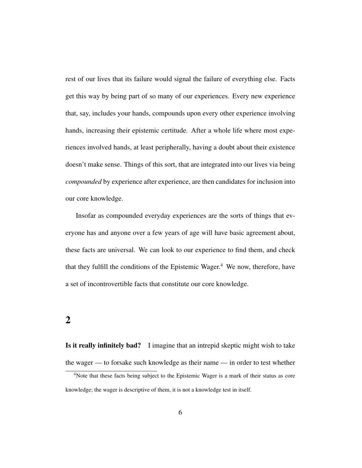rest of our lives that its failure would signal the failure of everything else. Facts get this way by being part of so many of our experiences. Every new experience that, say, includes your hands, compounds upon every other experience involving hands, increasing their epistemic certitude. After a whole life where most experiences involved hands, at least peripherally, having a doubt about their existence doesn't make sense. Things of this sort, that are integrated into our lives via being *compounded* by experience after experience, are then candidates for inclusion into our core knowledge.

Insofar as compounded everyday experiences are the sorts of things that everyone has and anyone over a few years of age will have basic agreement about, these facts are universal. We can look to our experience to find them, and check that they fulfill the conditions of the Epistemic Wager.<sup>[4](#page-5-0)</sup> We now, therefore, have a set of incontrovertible facts that constitute our core knowledge.

#### 2

Is it really infinitely bad? I imagine that an intrepid skeptic might wish to take the wager — to forsake such knowledge as their name — in order to test whether

<span id="page-5-0"></span><sup>4</sup>Note that these facts being subject to the Epistemic Wager is a mark of their status as core knowledge; the wager is descriptive of them, it is not a knowledge test in itself.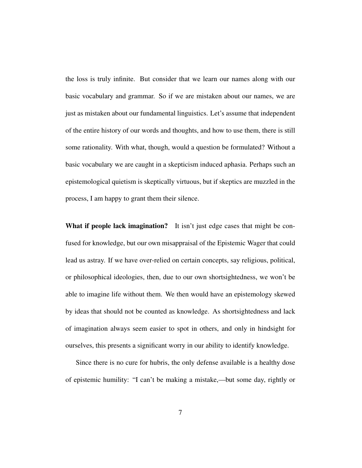the loss is truly infinite. But consider that we learn our names along with our basic vocabulary and grammar. So if we are mistaken about our names, we are just as mistaken about our fundamental linguistics. Let's assume that independent of the entire history of our words and thoughts, and how to use them, there is still some rationality. With what, though, would a question be formulated? Without a basic vocabulary we are caught in a skepticism induced aphasia. Perhaps such an epistemological quietism is skeptically virtuous, but if skeptics are muzzled in the process, I am happy to grant them their silence.

What if people lack imagination? It isn't just edge cases that might be confused for knowledge, but our own misappraisal of the Epistemic Wager that could lead us astray. If we have over-relied on certain concepts, say religious, political, or philosophical ideologies, then, due to our own shortsightedness, we won't be able to imagine life without them. We then would have an epistemology skewed by ideas that should not be counted as knowledge. As shortsightedness and lack of imagination always seem easier to spot in others, and only in hindsight for ourselves, this presents a significant worry in our ability to identify knowledge.

Since there is no cure for hubris, the only defense available is a healthy dose of epistemic humility: "I can't be making a mistake,—but some day, rightly or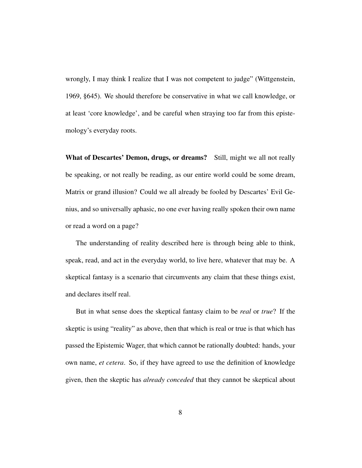wrongly, I may think I realize that I was not competent to judge" [\(Wittgenstein,](#page-12-1) [1969,](#page-12-1) §645). We should therefore be conservative in what we call knowledge, or at least 'core knowledge', and be careful when straying too far from this epistemology's everyday roots.

What of Descartes' Demon, drugs, or dreams? Still, might we all not really be speaking, or not really be reading, as our entire world could be some dream, Matrix or grand illusion? Could we all already be fooled by Descartes' Evil Genius, and so universally aphasic, no one ever having really spoken their own name or read a word on a page?

The understanding of reality described here is through being able to think, speak, read, and act in the everyday world, to live here, whatever that may be. A skeptical fantasy is a scenario that circumvents any claim that these things exist, and declares itself real.

But in what sense does the skeptical fantasy claim to be *real* or *true*? If the skeptic is using "reality" as above, then that which is real or true is that which has passed the Epistemic Wager, that which cannot be rationally doubted: hands, your own name, *et cetera*. So, if they have agreed to use the definition of knowledge given, then the skeptic has *already conceded* that they cannot be skeptical about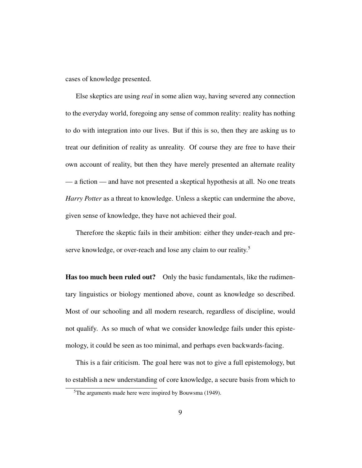cases of knowledge presented.

Else skeptics are using *real* in some alien way, having severed any connection to the everyday world, foregoing any sense of common reality: reality has nothing to do with integration into our lives. But if this is so, then they are asking us to treat our definition of reality as unreality. Of course they are free to have their own account of reality, but then they have merely presented an alternate reality — a fiction — and have not presented a skeptical hypothesis at all. No one treats *Harry Potter* as a threat to knowledge. Unless a skeptic can undermine the above, given sense of knowledge, they have not achieved their goal.

Therefore the skeptic fails in their ambition: either they under-reach and pre-serve knowledge, or over-reach and lose any claim to our reality.<sup>[5](#page-8-0)</sup>

Has too much been ruled out? Only the basic fundamentals, like the rudimentary linguistics or biology mentioned above, count as knowledge so described. Most of our schooling and all modern research, regardless of discipline, would not qualify. As so much of what we consider knowledge fails under this epistemology, it could be seen as too minimal, and perhaps even backwards-facing.

This is a fair criticism. The goal here was not to give a full epistemology, but to establish a new understanding of core knowledge, a secure basis from which to

<span id="page-8-0"></span><sup>&</sup>lt;sup>5</sup>The arguments made here were inspired by [Bouwsma](#page-12-3) [\(1949\)](#page-12-3).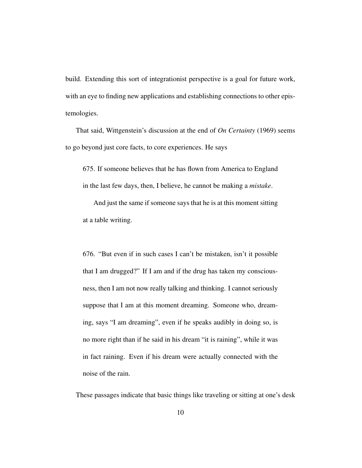build. Extending this sort of integrationist perspective is a goal for future work, with an eye to finding new applications and establishing connections to other epistemologies.

That said, Wittgenstein's discussion at the end of *On Certainty* (1969) seems to go beyond just core facts, to core experiences. He says

675. If someone believes that he has flown from America to England in the last few days, then, I believe, he cannot be making a *mistake*.

And just the same if someone says that he is at this moment sitting at a table writing.

676. "But even if in such cases I can't be mistaken, isn't it possible that I am drugged?" If I am and if the drug has taken my consciousness, then I am not now really talking and thinking. I cannot seriously suppose that I am at this moment dreaming. Someone who, dreaming, says "I am dreaming", even if he speaks audibly in doing so, is no more right than if he said in his dream "it is raining", while it was in fact raining. Even if his dream were actually connected with the noise of the rain.

These passages indicate that basic things like traveling or sitting at one's desk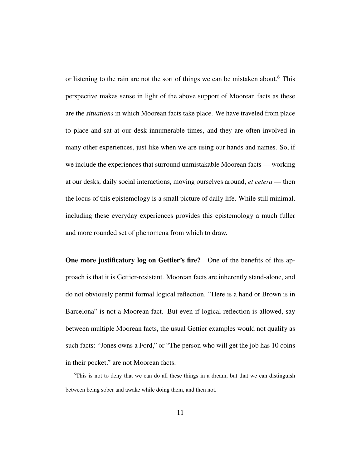or listening to the rain are not the sort of things we can be mistaken about.<sup>[6](#page-10-0)</sup> This perspective makes sense in light of the above support of Moorean facts as these are the *situations* in which Moorean facts take place. We have traveled from place to place and sat at our desk innumerable times, and they are often involved in many other experiences, just like when we are using our hands and names. So, if we include the experiences that surround unmistakable Moorean facts — working at our desks, daily social interactions, moving ourselves around, *et cetera* — then the locus of this epistemology is a small picture of daily life. While still minimal, including these everyday experiences provides this epistemology a much fuller and more rounded set of phenomena from which to draw.

One more justificatory log on Gettier's fire? One of the benefits of this approach is that it is Gettier-resistant. Moorean facts are inherently stand-alone, and do not obviously permit formal logical reflection. "Here is a hand or Brown is in Barcelona" is not a Moorean fact. But even if logical reflection is allowed, say between multiple Moorean facts, the usual Gettier examples would not qualify as such facts: "Jones owns a Ford," or "The person who will get the job has 10 coins in their pocket," are not Moorean facts.

<span id="page-10-0"></span> $6$ This is not to deny that we can do all these things in a dream, but that we can distinguish between being sober and awake while doing them, and then not.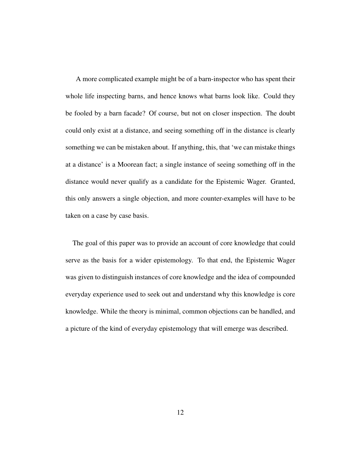A more complicated example might be of a barn-inspector who has spent their whole life inspecting barns, and hence knows what barns look like. Could they be fooled by a barn facade? Of course, but not on closer inspection. The doubt could only exist at a distance, and seeing something off in the distance is clearly something we can be mistaken about. If anything, this, that 'we can mistake things at a distance' is a Moorean fact; a single instance of seeing something off in the distance would never qualify as a candidate for the Epistemic Wager. Granted, this only answers a single objection, and more counter-examples will have to be taken on a case by case basis.

The goal of this paper was to provide an account of core knowledge that could serve as the basis for a wider epistemology. To that end, the Epistemic Wager was given to distinguish instances of core knowledge and the idea of compounded everyday experience used to seek out and understand why this knowledge is core knowledge. While the theory is minimal, common objections can be handled, and a picture of the kind of everyday epistemology that will emerge was described.